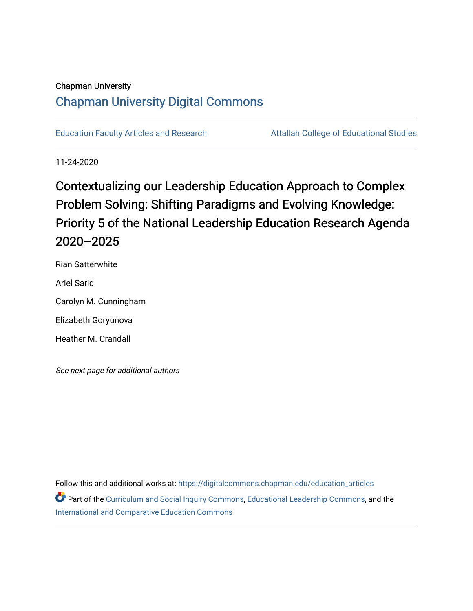### Chapman University

# [Chapman University Digital Commons](https://digitalcommons.chapman.edu/)

[Education Faculty Articles and Research](https://digitalcommons.chapman.edu/education_articles) **Attallah College of Educational Studies** 

11-24-2020

Contextualizing our Leadership Education Approach to Complex Problem Solving: Shifting Paradigms and Evolving Knowledge: Priority 5 of the National Leadership Education Research Agenda 2020–2025

Rian Satterwhite Ariel Sarid Carolyn M. Cunningham Elizabeth Goryunova Heather M. Crandall

See next page for additional authors

Follow this and additional works at: [https://digitalcommons.chapman.edu/education\\_articles](https://digitalcommons.chapman.edu/education_articles?utm_source=digitalcommons.chapman.edu%2Feducation_articles%2F279&utm_medium=PDF&utm_campaign=PDFCoverPages) Part of the [Curriculum and Social Inquiry Commons,](http://network.bepress.com/hgg/discipline/1038?utm_source=digitalcommons.chapman.edu%2Feducation_articles%2F279&utm_medium=PDF&utm_campaign=PDFCoverPages) [Educational Leadership Commons,](http://network.bepress.com/hgg/discipline/1230?utm_source=digitalcommons.chapman.edu%2Feducation_articles%2F279&utm_medium=PDF&utm_campaign=PDFCoverPages) and the [International and Comparative Education Commons](http://network.bepress.com/hgg/discipline/797?utm_source=digitalcommons.chapman.edu%2Feducation_articles%2F279&utm_medium=PDF&utm_campaign=PDFCoverPages)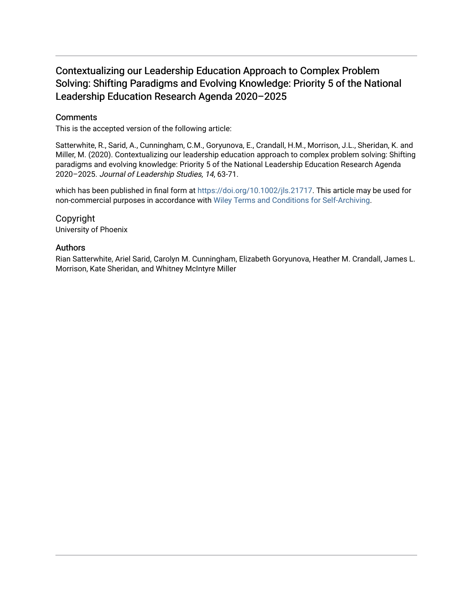## Contextualizing our Leadership Education Approach to Complex Problem Solving: Shifting Paradigms and Evolving Knowledge: Priority 5 of the National Leadership Education Research Agenda 2020–2025

#### **Comments**

This is the accepted version of the following article:

Satterwhite, R., Sarid, A., Cunningham, C.M., Goryunova, E., Crandall, H.M., Morrison, J.L., Sheridan, K. and Miller, M. (2020). Contextualizing our leadership education approach to complex problem solving: Shifting paradigms and evolving knowledge: Priority 5 of the National Leadership Education Research Agenda 2020–2025. Journal of Leadership Studies, 14, 63-71.

which has been published in final form at [https://doi.org/10.1002/jls.21717.](https://doi.org/10.1002/jls.21717) This article may be used for non-commercial purposes in accordance with [Wiley Terms and Conditions for Self-Archiving](http://olabout.wiley.com/WileyCDA/Section/id-820227.html#terms).

Copyright University of Phoenix

#### Authors

Rian Satterwhite, Ariel Sarid, Carolyn M. Cunningham, Elizabeth Goryunova, Heather M. Crandall, James L. Morrison, Kate Sheridan, and Whitney McIntyre Miller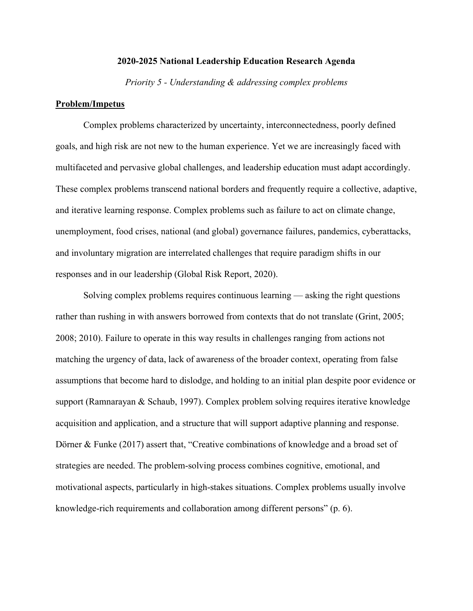#### **2020-2025 National Leadership Education Research Agenda**

*Priority 5 - Understanding & addressing complex problems*

#### **Problem/Impetus**

Complex problems characterized by uncertainty, interconnectedness, poorly defined goals, and high risk are not new to the human experience. Yet we are increasingly faced with multifaceted and pervasive global challenges, and leadership education must adapt accordingly. These complex problems transcend national borders and frequently require a collective, adaptive, and iterative learning response. Complex problems such as failure to act on climate change, unemployment, food crises, national (and global) governance failures, pandemics, cyberattacks, and involuntary migration are interrelated challenges that require paradigm shifts in our responses and in our leadership (Global Risk Report, 2020).

Solving complex problems requires continuous learning — asking the right questions rather than rushing in with answers borrowed from contexts that do not translate (Grint, 2005; 2008; 2010). Failure to operate in this way results in challenges ranging from actions not matching the urgency of data, lack of awareness of the broader context, operating from false assumptions that become hard to dislodge, and holding to an initial plan despite poor evidence or support (Ramnarayan & Schaub, 1997). Complex problem solving requires iterative knowledge acquisition and application, and a structure that will support adaptive planning and response. Dörner & Funke (2017) assert that, "Creative combinations of knowledge and a broad set of strategies are needed. The problem-solving process combines cognitive, emotional, and motivational aspects, particularly in high-stakes situations. Complex problems usually involve knowledge-rich requirements and collaboration among different persons" (p. 6).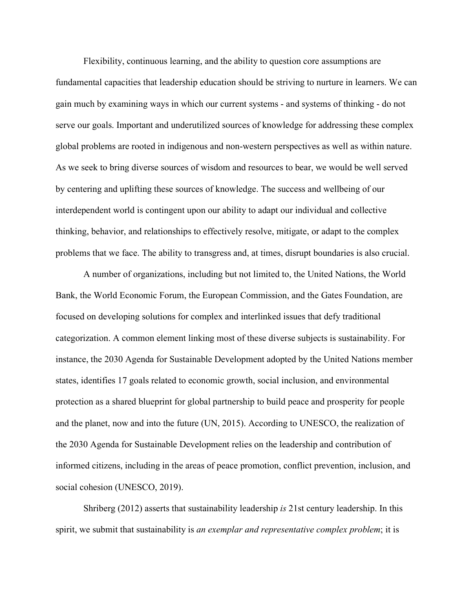Flexibility, continuous learning, and the ability to question core assumptions are fundamental capacities that leadership education should be striving to nurture in learners. We can gain much by examining ways in which our current systems - and systems of thinking - do not serve our goals. Important and underutilized sources of knowledge for addressing these complex global problems are rooted in indigenous and non-western perspectives as well as within nature. As we seek to bring diverse sources of wisdom and resources to bear, we would be well served by centering and uplifting these sources of knowledge. The success and wellbeing of our interdependent world is contingent upon our ability to adapt our individual and collective thinking, behavior, and relationships to effectively resolve, mitigate, or adapt to the complex problems that we face. The ability to transgress and, at times, disrupt boundaries is also crucial.

A number of organizations, including but not limited to, the United Nations, the World Bank, the World Economic Forum, the European Commission, and the Gates Foundation, are focused on developing solutions for complex and interlinked issues that defy traditional categorization. A common element linking most of these diverse subjects is sustainability. For instance, the 2030 Agenda for Sustainable Development adopted by the United Nations member states, identifies 17 goals related to economic growth, social inclusion, and environmental protection as a shared blueprint for global partnership to build peace and prosperity for people and the planet, now and into the future (UN, 2015). According to UNESCO, the realization of the 2030 Agenda for Sustainable Development relies on the leadership and contribution of informed citizens, including in the areas of peace promotion, conflict prevention, inclusion, and social cohesion (UNESCO, 2019).

Shriberg (2012) asserts that sustainability leadership *is* 21st century leadership. In this spirit, we submit that sustainability is *an exemplar and representative complex problem*; it is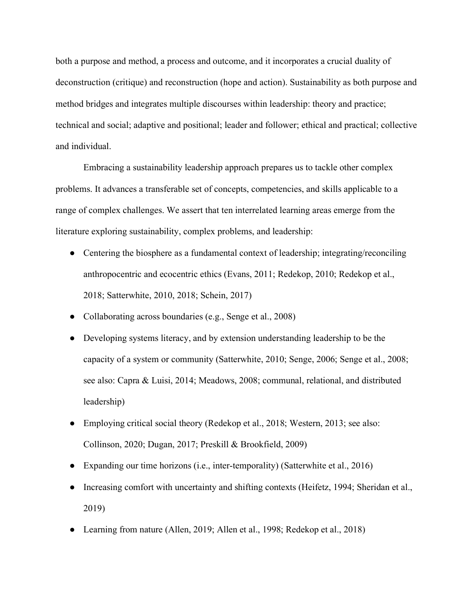both a purpose and method, a process and outcome, and it incorporates a crucial duality of deconstruction (critique) and reconstruction (hope and action). Sustainability as both purpose and method bridges and integrates multiple discourses within leadership: theory and practice; technical and social; adaptive and positional; leader and follower; ethical and practical; collective and individual.

Embracing a sustainability leadership approach prepares us to tackle other complex problems. It advances a transferable set of concepts, competencies, and skills applicable to a range of complex challenges. We assert that ten interrelated learning areas emerge from the literature exploring sustainability, complex problems, and leadership:

- Centering the biosphere as a fundamental context of leadership; integrating/reconciling anthropocentric and ecocentric ethics (Evans, 2011; Redekop, 2010; Redekop et al., 2018; Satterwhite, 2010, 2018; Schein, 2017)
- Collaborating across boundaries (e.g., Senge et al., 2008)
- Developing systems literacy, and by extension understanding leadership to be the capacity of a system or community (Satterwhite, 2010; Senge, 2006; Senge et al., 2008; see also: Capra & Luisi, 2014; Meadows, 2008; communal, relational, and distributed leadership)
- Employing critical social theory (Redekop et al., 2018; Western, 2013; see also: Collinson, 2020; Dugan, 2017; Preskill & Brookfield, 2009)
- Expanding our time horizons (i.e., inter-temporality) (Satterwhite et al., 2016)
- Increasing comfort with uncertainty and shifting contexts (Heifetz, 1994; Sheridan et al., 2019)
- Learning from nature (Allen, 2019; Allen et al., 1998; Redekop et al., 2018)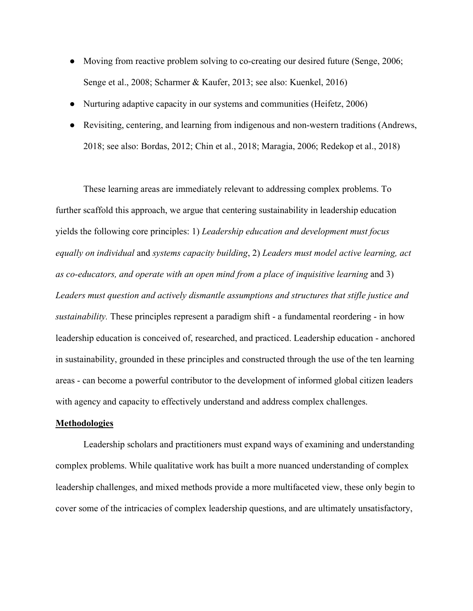- Moving from reactive problem solving to co-creating our desired future (Senge, 2006; Senge et al., 2008; Scharmer & Kaufer, 2013; see also: Kuenkel, 2016)
- Nurturing adaptive capacity in our systems and communities (Heifetz, 2006)
- Revisiting, centering, and learning from indigenous and non-western traditions (Andrews, 2018; see also: Bordas, 2012; Chin et al., 2018; Maragia, 2006; Redekop et al., 2018)

These learning areas are immediately relevant to addressing complex problems. To further scaffold this approach, we argue that centering sustainability in leadership education yields the following core principles: 1) *Leadership education and development must focus equally on individual* and *systems capacity building*, 2) *Leaders must model active learning, act as co-educators, and operate with an open mind from a place of inquisitive learning* and 3) *Leaders must question and actively dismantle assumptions and structures that stifle justice and sustainability.* These principles represent a paradigm shift - a fundamental reordering - in how leadership education is conceived of, researched, and practiced. Leadership education - anchored in sustainability, grounded in these principles and constructed through the use of the ten learning areas - can become a powerful contributor to the development of informed global citizen leaders with agency and capacity to effectively understand and address complex challenges.

#### **Methodologies**

Leadership scholars and practitioners must expand ways of examining and understanding complex problems. While qualitative work has built a more nuanced understanding of complex leadership challenges, and mixed methods provide a more multifaceted view, these only begin to cover some of the intricacies of complex leadership questions, and are ultimately unsatisfactory,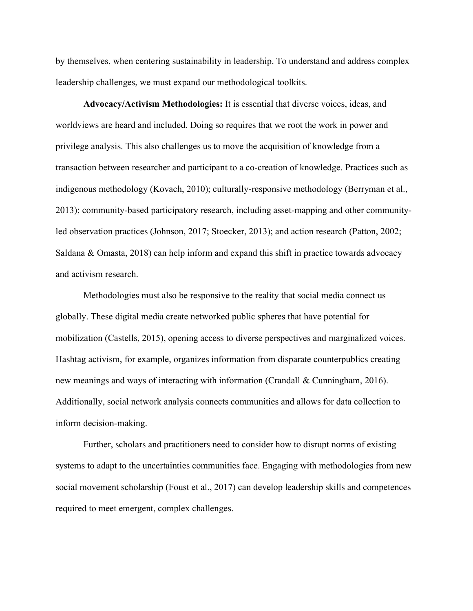by themselves, when centering sustainability in leadership. To understand and address complex leadership challenges, we must expand our methodological toolkits.

**Advocacy/Activism Methodologies:** It is essential that diverse voices, ideas, and worldviews are heard and included. Doing so requires that we root the work in power and privilege analysis. This also challenges us to move the acquisition of knowledge from a transaction between researcher and participant to a co-creation of knowledge. Practices such as indigenous methodology (Kovach, 2010); culturally-responsive methodology (Berryman et al., 2013); community-based participatory research, including asset-mapping and other communityled observation practices (Johnson, 2017; Stoecker, 2013); and action research (Patton, 2002; Saldana & Omasta, 2018) can help inform and expand this shift in practice towards advocacy and activism research.

Methodologies must also be responsive to the reality that social media connect us globally. These digital media create networked public spheres that have potential for mobilization (Castells, 2015), opening access to diverse perspectives and marginalized voices. Hashtag activism, for example, organizes information from disparate counterpublics creating new meanings and ways of interacting with information (Crandall & Cunningham, 2016). Additionally, social network analysis connects communities and allows for data collection to inform decision-making.

Further, scholars and practitioners need to consider how to disrupt norms of existing systems to adapt to the uncertainties communities face. Engaging with methodologies from new social movement scholarship (Foust et al., 2017) can develop leadership skills and competences required to meet emergent, complex challenges.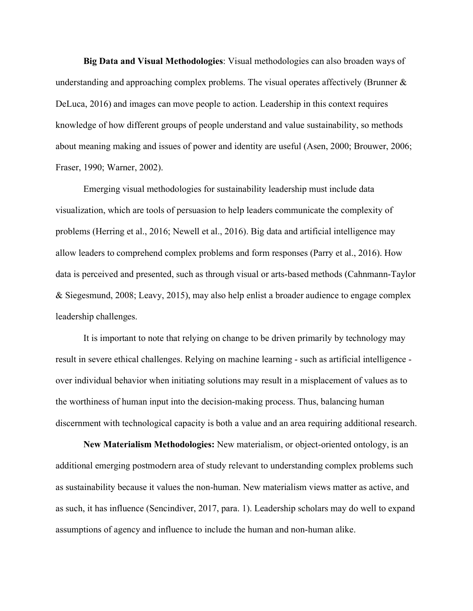**Big Data and Visual Methodologies**: Visual methodologies can also broaden ways of understanding and approaching complex problems. The visual operates affectively (Brunner & DeLuca, 2016) and images can move people to action. Leadership in this context requires knowledge of how different groups of people understand and value sustainability, so methods about meaning making and issues of power and identity are useful (Asen, 2000; Brouwer, 2006; Fraser, 1990; Warner, 2002).

Emerging visual methodologies for sustainability leadership must include data visualization, which are tools of persuasion to help leaders communicate the complexity of problems (Herring et al., 2016; Newell et al., 2016). Big data and artificial intelligence may allow leaders to comprehend complex problems and form responses (Parry et al., 2016). How data is perceived and presented, such as through visual or arts-based methods (Cahnmann-Taylor & Siegesmund, 2008; Leavy, 2015), may also help enlist a broader audience to engage complex leadership challenges.

It is important to note that relying on change to be driven primarily by technology may result in severe ethical challenges. Relying on machine learning - such as artificial intelligence over individual behavior when initiating solutions may result in a misplacement of values as to the worthiness of human input into the decision-making process. Thus, balancing human discernment with technological capacity is both a value and an area requiring additional research.

**New Materialism Methodologies:** New materialism, or object-oriented ontology, is an additional emerging postmodern area of study relevant to understanding complex problems such as sustainability because it values the non-human. New materialism views matter as active, and as such, it has influence (Sencindiver, 2017, para. 1). Leadership scholars may do well to expand assumptions of agency and influence to include the human and non-human alike.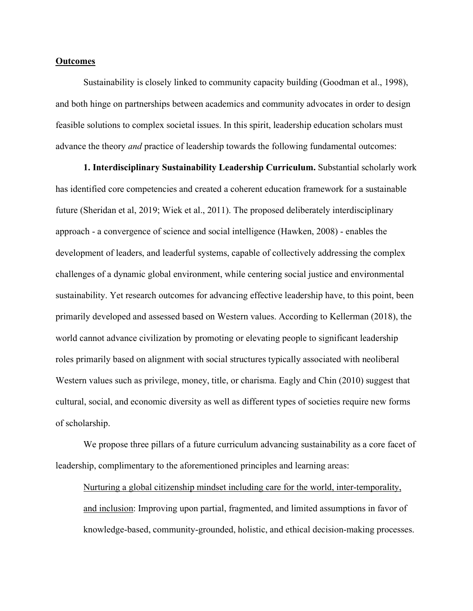#### **Outcomes**

Sustainability is closely linked to community capacity building (Goodman et al., 1998), and both hinge on partnerships between academics and community advocates in order to design feasible solutions to complex societal issues. In this spirit, leadership education scholars must advance the theory *and* practice of leadership towards the following fundamental outcomes:

**1. Interdisciplinary Sustainability Leadership Curriculum.** Substantial scholarly work has identified core competencies and created a coherent education framework for a sustainable future (Sheridan et al, 2019; Wiek et al., 2011). The proposed deliberately interdisciplinary approach - a convergence of science and social intelligence (Hawken, 2008) - enables the development of leaders, and leaderful systems, capable of collectively addressing the complex challenges of a dynamic global environment, while centering social justice and environmental sustainability. Yet research outcomes for advancing effective leadership have, to this point, been primarily developed and assessed based on Western values. According to Kellerman (2018), the world cannot advance civilization by promoting or elevating people to significant leadership roles primarily based on alignment with social structures typically associated with neoliberal Western values such as privilege, money, title, or charisma. Eagly and Chin (2010) suggest that cultural, social, and economic diversity as well as different types of societies require new forms of scholarship.

We propose three pillars of a future curriculum advancing sustainability as a core facet of leadership, complimentary to the aforementioned principles and learning areas:

Nurturing a global citizenship mindset including care for the world, inter-temporality, and inclusion: Improving upon partial, fragmented, and limited assumptions in favor of knowledge-based, community-grounded, holistic, and ethical decision-making processes.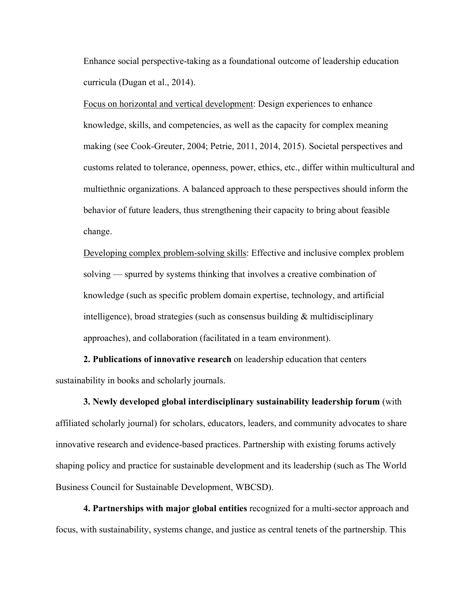Enhance social perspective-taking as a foundational outcome of leadership education curricula (Dugan et al., 2014).

Focus on horizontal and vertical development: Design experiences to enhance knowledge, skills, and competencies, as well as the capacity for complex meaning making (see Cook-Greuter, 2004; Petrie, 2011, 2014, 2015). Societal perspectives and customs related to tolerance, openness, power, ethics, etc., differ within multicultural and multiethnic organizations. A balanced approach to these perspectives should inform the behavior of future leaders, thus strengthening their capacity to bring about feasible change.

Developing complex problem-solving skills: Effective and inclusive complex problem solving — spurred by systems thinking that involves a creative combination of knowledge (such as specific problem domain expertise, technology, and artificial intelligence), broad strategies (such as consensus building & multidisciplinary approaches), and collaboration (facilitated in a team environment).

**2. Publications of innovative research** on leadership education that centers sustainability in books and scholarly journals.

**3. Newly developed global interdisciplinary sustainability leadership forum** (with affiliated scholarly journal) for scholars, educators, leaders, and community advocates to share innovative research and evidence-based practices. Partnership with existing forums actively shaping policy and practice for sustainable development and its leadership (such as The World Business Council for Sustainable Development, WBCSD).

**4. Partnerships with major global entities** recognized for a multi-sector approach and focus, with sustainability, systems change, and justice as central tenets of the partnership. This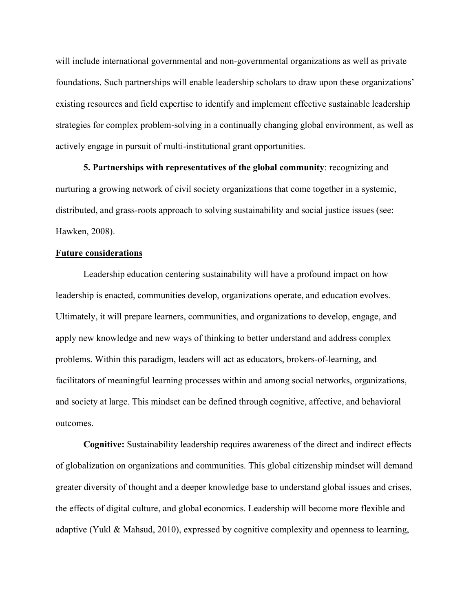will include international governmental and non-governmental organizations as well as private foundations. Such partnerships will enable leadership scholars to draw upon these organizations' existing resources and field expertise to identify and implement effective sustainable leadership strategies for complex problem-solving in a continually changing global environment, as well as actively engage in pursuit of multi-institutional grant opportunities.

**5. Partnerships with representatives of the global community**: recognizing and nurturing a growing network of civil society organizations that come together in a systemic, distributed, and grass-roots approach to solving sustainability and social justice issues (see: Hawken, 2008).

#### **Future considerations**

Leadership education centering sustainability will have a profound impact on how leadership is enacted, communities develop, organizations operate, and education evolves. Ultimately, it will prepare learners, communities, and organizations to develop, engage, and apply new knowledge and new ways of thinking to better understand and address complex problems. Within this paradigm, leaders will act as educators, brokers-of-learning, and facilitators of meaningful learning processes within and among social networks, organizations, and society at large. This mindset can be defined through cognitive, affective, and behavioral outcomes.

**Cognitive:** Sustainability leadership requires awareness of the direct and indirect effects of globalization on organizations and communities. This global citizenship mindset will demand greater diversity of thought and a deeper knowledge base to understand global issues and crises, the effects of digital culture, and global economics. Leadership will become more flexible and adaptive (Yukl & Mahsud, 2010), expressed by cognitive complexity and openness to learning,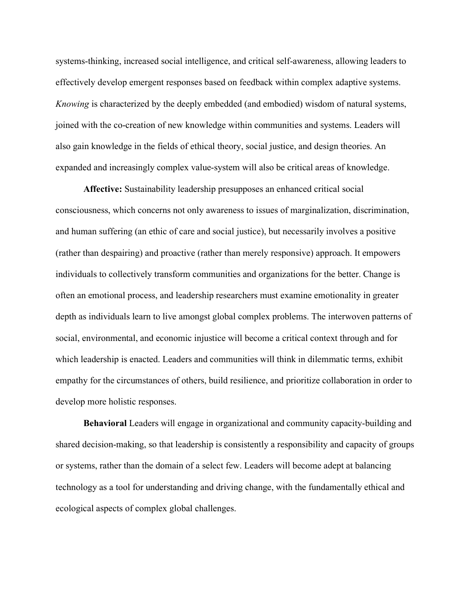systems-thinking, increased social intelligence, and critical self-awareness, allowing leaders to effectively develop emergent responses based on feedback within complex adaptive systems. *Knowing* is characterized by the deeply embedded (and embodied) wisdom of natural systems, joined with the co-creation of new knowledge within communities and systems. Leaders will also gain knowledge in the fields of ethical theory, social justice, and design theories. An expanded and increasingly complex value-system will also be critical areas of knowledge.

**Affective:** Sustainability leadership presupposes an enhanced critical social consciousness, which concerns not only awareness to issues of marginalization, discrimination, and human suffering (an ethic of care and social justice), but necessarily involves a positive (rather than despairing) and proactive (rather than merely responsive) approach. It empowers individuals to collectively transform communities and organizations for the better. Change is often an emotional process, and leadership researchers must examine emotionality in greater depth as individuals learn to live amongst global complex problems. The interwoven patterns of social, environmental, and economic injustice will become a critical context through and for which leadership is enacted. Leaders and communities will think in dilemmatic terms, exhibit empathy for the circumstances of others, build resilience, and prioritize collaboration in order to develop more holistic responses.

**Behavioral** Leaders will engage in organizational and community capacity-building and shared decision-making, so that leadership is consistently a responsibility and capacity of groups or systems, rather than the domain of a select few. Leaders will become adept at balancing technology as a tool for understanding and driving change, with the fundamentally ethical and ecological aspects of complex global challenges.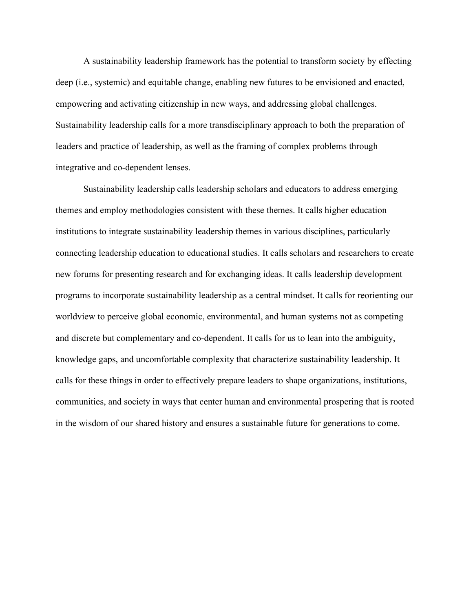A sustainability leadership framework has the potential to transform society by effecting deep (i.e., systemic) and equitable change, enabling new futures to be envisioned and enacted, empowering and activating citizenship in new ways, and addressing global challenges. Sustainability leadership calls for a more transdisciplinary approach to both the preparation of leaders and practice of leadership, as well as the framing of complex problems through integrative and co-dependent lenses.

Sustainability leadership calls leadership scholars and educators to address emerging themes and employ methodologies consistent with these themes. It calls higher education institutions to integrate sustainability leadership themes in various disciplines, particularly connecting leadership education to educational studies. It calls scholars and researchers to create new forums for presenting research and for exchanging ideas. It calls leadership development programs to incorporate sustainability leadership as a central mindset. It calls for reorienting our worldview to perceive global economic, environmental, and human systems not as competing and discrete but complementary and co-dependent. It calls for us to lean into the ambiguity, knowledge gaps, and uncomfortable complexity that characterize sustainability leadership. It calls for these things in order to effectively prepare leaders to shape organizations, institutions, communities, and society in ways that center human and environmental prospering that is rooted in the wisdom of our shared history and ensures a sustainable future for generations to come.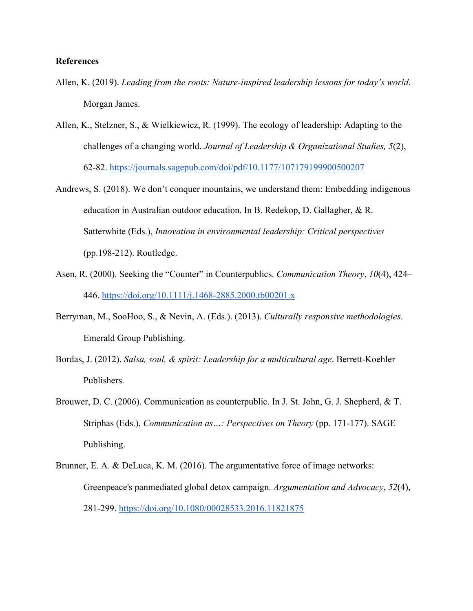#### **References**

- Allen, K. (2019). *Leading from the roots: Nature-inspired leadership lessons for today's world*. Morgan James.
- Allen, K., Stelzner, S., & Wielkiewicz, R. (1999). The ecology of leadership: Adapting to the challenges of a changing world. *Journal of Leadership & Organizational Studies, 5*(2), 62-82.<https://journals.sagepub.com/doi/pdf/10.1177/107179199900500207>
- Andrews, S. (2018). We don't conquer mountains, we understand them: Embedding indigenous education in Australian outdoor education. In B. Redekop, D. Gallagher, & R. Satterwhite (Eds.), *Innovation in environmental leadership: Critical perspectives* (pp.198-212). Routledge.
- Asen, R. (2000). Seeking the "Counter" in Counterpublics. *Communication Theory*, *10*(4), 424– 446[.](https://doi.org/10.1111/j.1468-2885.2000.tb00201.x) <https://doi.org/10.1111/j.1468-2885.2000.tb00201.x>
- Berryman, M., SooHoo, S., & Nevin, A. (Eds.). (2013). *Culturally responsive methodologies*. Emerald Group Publishing.
- Bordas, J. (2012). *Salsa, soul, & spirit: Leadership for a multicultural age*. Berrett-Koehler Publishers.
- Brouwer, D. C. (2006). Communication as counterpublic. In J. St. John, G. J. Shepherd, & T. Striphas (Eds.), *Communication as…: Perspectives on Theory* (pp. 171-177). SAGE Publishing.
- Brunner, E. A. & DeLuca, K. M. (2016). The argumentative force of image networks: Greenpeace's panmediated global detox campaign. *Argumentation and Advocacy*, *52*(4), 281-299.<https://doi.org/10.1080/00028533.2016.11821875>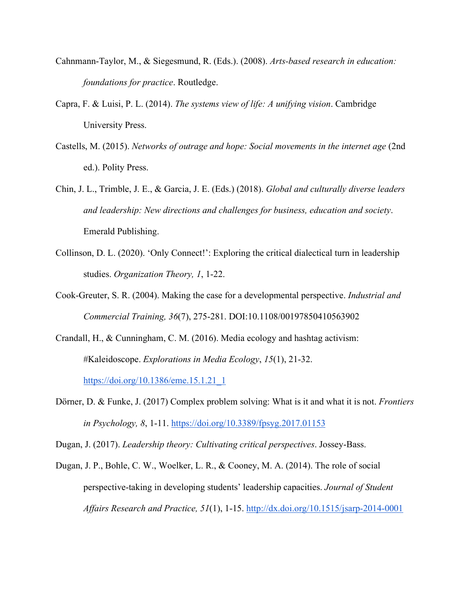- Cahnmann-Taylor, M., & Siegesmund, R. (Eds.). (2008). *Arts-based research in education: foundations for practice*. Routledge.
- Capra, F. & Luisi, P. L. (2014). *The systems view of life: A unifying vision*. Cambridge University Press.
- Castells, M. (2015). *Networks of outrage and hope: Social movements in the internet age* (2nd ed.). Polity Press.
- Chin, J. L., Trimble, J. E., & Garcia, J. E. (Eds.) (2018). *Global and culturally diverse leaders and leadership: New directions and challenges for business, education and society*. Emerald Publishing.
- Collinson, D. L. (2020). 'Only Connect!': Exploring the critical dialectical turn in leadership studies. *Organization Theory, 1*, 1-22.
- Cook-Greuter, S. R. (2004). Making the case for a developmental perspective. *Industrial and Commercial Training, 36*(7), 275-281. DOI:10.1108/00197850410563902
- Crandall, H., & Cunningham, C. M. (2016). Media ecology and hashtag activism: #Kaleidoscope. *Explorations in Media Ecology*, *15*(1), 21-32.

[https://doi.org/10.1386/eme.15.1.21\\_1](https://doi.org/10.1386/eme.15.1.21_1)

Dörner, D. & Funke, J. (2017) Complex problem solving: What is it and what it is not. *Frontiers in Psychology, 8*, 1-11.<https://doi.org/10.3389/fpsyg.2017.01153>

Dugan, J. (2017). *Leadership theory: Cultivating critical perspectives*. Jossey-Bass.

Dugan, J. P., Bohle, C. W., Woelker, L. R., & Cooney, M. A. (2014). The role of social perspective-taking in developing students' leadership capacities. *Journal of Student Affairs Research and Practice, 51*(1), 1-15.<http://dx.doi.org/10.1515/jsarp-2014-0001>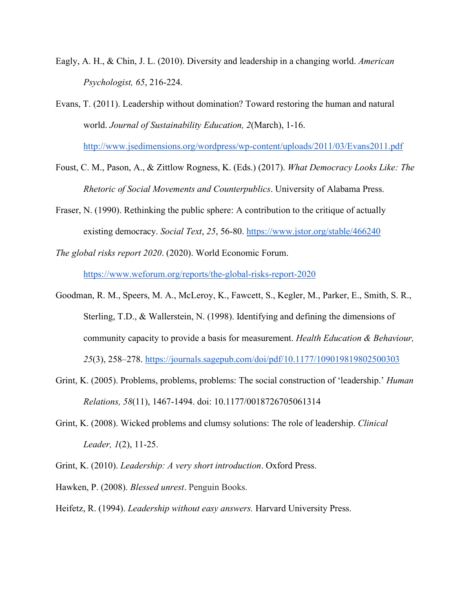- Eagly, A. H., & Chin, J. L. (2010). Diversity and leadership in a changing world. *American Psychologist, 65*, 216-224.
- Evans, T. (2011). Leadership without domination? Toward restoring the human and natural world. *Journal of Sustainability Education, 2*(March), 1-16. <http://www.jsedimensions.org/wordpress/wp-content/uploads/2011/03/Evans2011.pdf>
- Foust, C. M., Pason, A., & Zittlow Rogness, K. (Eds.) (2017). *What Democracy Looks Like: The Rhetoric of Social Movements and Counterpublics*. University of Alabama Press.
- Fraser, N. (1990). Rethinking the public sphere: A contribution to the critique of actually existing democracy. *Social Text*, *25*, 56-80.<https://www.jstor.org/stable/466240>
- *The global risks report 2020*. (2020). World Economic Forum. <https://www.weforum.org/reports/the-global-risks-report-2020>
- Goodman, R. M., Speers, M. A., McLeroy, K., Fawcett, S., Kegler, M., Parker, E., Smith, S. R., Sterling, T.D., & Wallerstein, N. (1998). Identifying and defining the dimensions of community capacity to provide a basis for measurement. *Health Education & Behaviour, 25*(3), 258–278.<https://journals.sagepub.com/doi/pdf/10.1177/109019819802500303>
- Grint, K. (2005). Problems, problems, problems: The social construction of 'leadership.' *Human Relations, 58*(11), 1467-1494. doi: 10.1177/0018726705061314
- Grint, K. (2008). Wicked problems and clumsy solutions: The role of leadership. *Clinical Leader, 1*(2), 11-25.
- Grint, K. (2010). *Leadership: A very short introduction*. Oxford Press.
- Hawken, P. (2008). *Blessed unrest*. Penguin Books.
- Heifetz, R. (1994). *Leadership without easy answers.* Harvard University Press.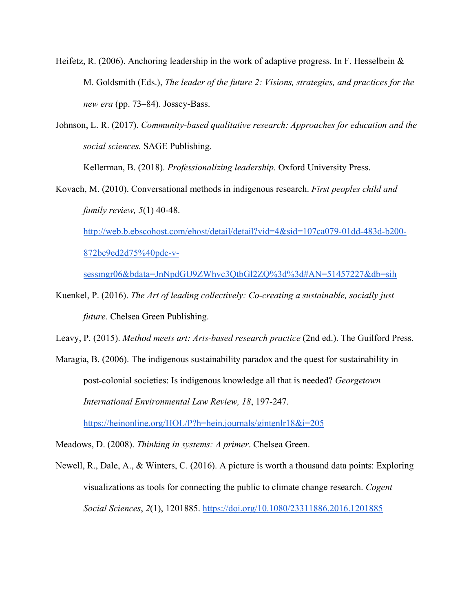- Heifetz, R. (2006). Anchoring leadership in the work of adaptive progress. In F. Hesselbein & M. Goldsmith (Eds.), *The leader of the future 2: Visions, strategies, and practices for the new era* (pp. 73–84). Jossey-Bass.
- Johnson, L. R. (2017). *Community-based qualitative research: Approaches for education and the social sciences.* SAGE Publishing.

Kellerman, B. (2018). *Professionalizing leadership*. Oxford University Press.

Kovach, M. (2010). Conversational methods in indigenous research. *First peoples child and family review, 5*(1) 40-48.

[http://web.b.ebscohost.com/ehost/detail/detail?vid=4&sid=107ca079-01dd-483d-b200-](http://web.b.ebscohost.com/ehost/detail/detail?vid=4&sid=107ca079-01dd-483d-b200-872bc9ed2d75%40pdc-v-sessmgr06&bdata=JnNpdGU9ZWhvc3QtbGl2ZQ%3d%3d#AN=51457227&db=sih) [872bc9ed2d75%40pdc-v-](http://web.b.ebscohost.com/ehost/detail/detail?vid=4&sid=107ca079-01dd-483d-b200-872bc9ed2d75%40pdc-v-sessmgr06&bdata=JnNpdGU9ZWhvc3QtbGl2ZQ%3d%3d#AN=51457227&db=sih)

[sessmgr06&bdata=JnNpdGU9ZWhvc3QtbGl2ZQ%3d%3d#AN=51457227&db=sih](http://web.b.ebscohost.com/ehost/detail/detail?vid=4&sid=107ca079-01dd-483d-b200-872bc9ed2d75%40pdc-v-sessmgr06&bdata=JnNpdGU9ZWhvc3QtbGl2ZQ%3d%3d#AN=51457227&db=sih)

Kuenkel, P. (2016). *The Art of leading collectively: Co-creating a sustainable, socially just future*. Chelsea Green Publishing.

Leavy, P. (2015). *Method meets art: Arts-based research practice* (2nd ed.). The Guilford Press.

Maragia, B. (2006). The indigenous sustainability paradox and the quest for sustainability in post-colonial societies: Is indigenous knowledge all that is needed? *Georgetown International Environmental Law Review, 18*, 197-247.

<https://heinonline.org/HOL/P?h=hein.journals/gintenlr18&i=205>

Meadows, D. (2008). *Thinking in systems: A primer*. Chelsea Green.

Newell, R., Dale, A., & Winters, C. (2016). A picture is worth a thousand data points: Exploring visualizations as tools for connecting the public to climate change research. *Cogent Social Sciences*, *2*(1), 1201885.<https://doi.org/10.1080/23311886.2016.1201885>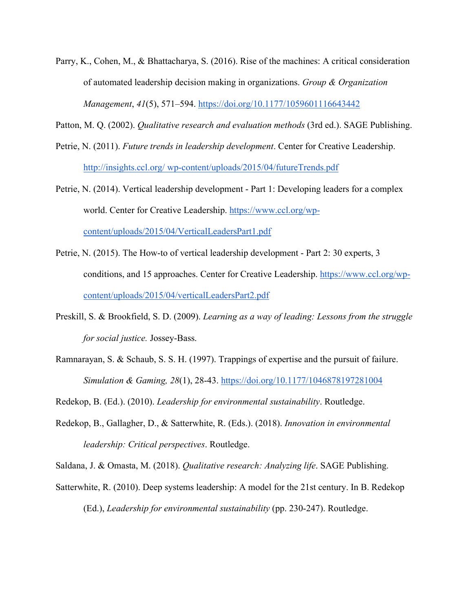Parry, K., Cohen, M., & Bhattacharya, S. (2016). Rise of the machines: A critical consideration of automated leadership decision making in organizations. *Group & Organization Management*, *41*(5), 571–594.<https://doi.org/10.1177/1059601116643442>

Patton, M. Q. (2002). *Qualitative research and evaluation methods* (3rd ed.). SAGE Publishing.

- Petrie, N. (2011). *Future trends in leadership development*. Center for Creative Leadership. [http://insights.ccl.org/ wp-content/uploads/2015/04/futureTrends.pdf](http://insights.ccl.org/)
- Petrie, N. (2014). Vertical leadership development Part 1: Developing leaders for a complex world. Center for Creative Leadership. [https://www.ccl.org/wp](https://www.ccl.org/wp-content/uploads/2015/04/VerticalLeadersPart1.pdf)[content/uploads/2015/04/VerticalLeadersPart1.pdf](https://www.ccl.org/wp-content/uploads/2015/04/VerticalLeadersPart1.pdf)
- Petrie, N. (2015). The How-to of vertical leadership development Part 2: 30 experts, 3 conditions, and 15 approaches. Center for Creative Leadership. [https://www.ccl.org/wp](https://www.ccl.org/wp-content/uploads/2015/04/verticalLeadersPart2.pdf)[content/uploads/2015/04/verticalLeadersPart2.pdf](https://www.ccl.org/wp-content/uploads/2015/04/verticalLeadersPart2.pdf)
- Preskill, S. & Brookfield, S. D. (2009). *Learning as a way of leading: Lessons from the struggle for social justice.* Jossey-Bass.
- Ramnarayan, S. & Schaub, S. S. H. (1997). Trappings of expertise and the pursuit of failure. *Simulation & Gaming, 28*(1), 28-43. [https://doi.org/10.1177/1046878197281004](https://doi.org/10.1177%2F1046878197281004)
- Redekop, B. (Ed.). (2010). *Leadership for environmental sustainability*. Routledge.
- Redekop, B., Gallagher, D., & Satterwhite, R. (Eds.). (2018). *Innovation in environmental leadership: Critical perspectives*. Routledge.
- Saldana, J. & Omasta, M. (2018). *Qualitative research: Analyzing life*. SAGE Publishing.
- Satterwhite, R. (2010). Deep systems leadership: A model for the 21st century. In B. Redekop (Ed.), *Leadership for environmental sustainability* (pp. 230-247). Routledge.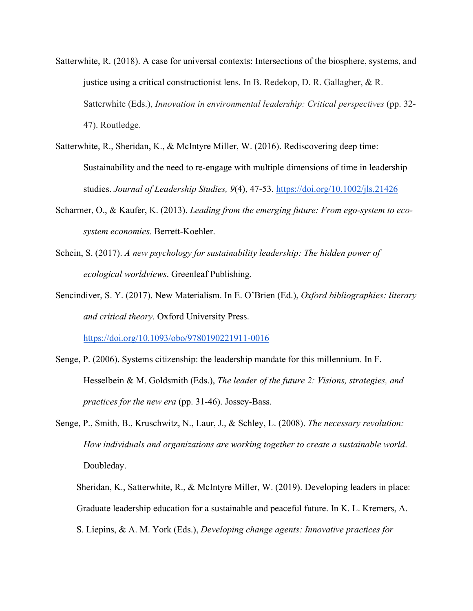- Satterwhite, R. (2018). A case for universal contexts: Intersections of the biosphere, systems, and justice using a critical constructionist lens. In B. Redekop, D. R. Gallagher, & R. Satterwhite (Eds.), *Innovation in environmental leadership: Critical perspectives* (pp. 32- 47). Routledge.
- Satterwhite, R., Sheridan, K., & McIntyre Miller, W. (2016). Rediscovering deep time: Sustainability and the need to re-engage with multiple dimensions of time in leadership studies. *Journal of Leadership Studies, 9*(4), 47-53.<https://doi.org/10.1002/jls.21426>
- Scharmer, O., & Kaufer, K. (2013). *Leading from the emerging future: From ego-system to ecosystem economies*. Berrett-Koehler.
- Schein, S. (2017). *A new psychology for sustainability leadership: The hidden power of ecological worldviews*. Greenleaf Publishing.
- Sencindiver, S. Y. (2017). New Materialism. In E. O'Brien (Ed.), *Oxford bibliographies: literary and critical theory*. Oxford University Press.

<https://doi.org/10.1093/obo/9780190221911-0016>

- Senge, P. (2006). Systems citizenship: the leadership mandate for this millennium. In F. Hesselbein & M. Goldsmith (Eds.), *The leader of the future 2: Visions, strategies, and practices for the new era* (pp. 31-46). Jossey-Bass.
- Senge, P., Smith, B., Kruschwitz, N., Laur, J., & Schley, L. (2008). *The necessary revolution: How individuals and organizations are working together to create a sustainable world*. Doubleday.

Sheridan, K., Satterwhite, R., & McIntyre Miller, W. (2019). Developing leaders in place: Graduate leadership education for a sustainable and peaceful future. In K. L. Kremers, A. S. Liepins, & A. M. York (Eds.), *Developing change agents: Innovative practices for*